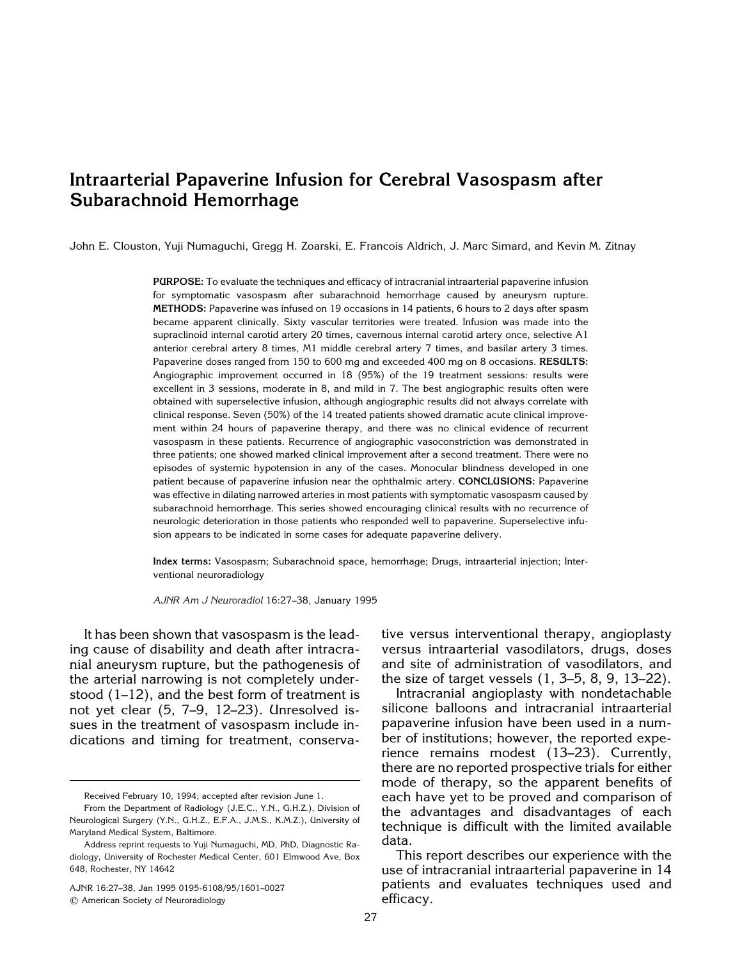# **Intraarterial Papaverine Infusion for Cerebral Vasospasm after Subarachnoid Hemorrhage**

John E. Clouston, Yuji Numaguchi, Gregg H. Zoarski, E. Francois Aldrich, J. Marc Simard, and Kevin M. Zitnay

**PURPOSE:** To evaluate the techniques and efficacy of intracranial intraarterial papaverine infusion for symptomatic vasospasm after subarachnoid hemorrhage caused by aneurysm rupture. **METHODS:** Papaverine was infused on 19 occasions in 14 patients, 6 hours to 2 days after spasm became apparent clinically. Sixty vascular territories were treated. Infusion was made into the supraclinoid internal carotid artery 20 times, cavernous internal carotid artery once, selective A1 anterior cerebral artery 8 times, M1 middle cerebral artery 7 times, and basilar artery 3 times. Papaverine doses ranged from 150 to 600 mg and exceeded 400 mg on 8 occasions. **RESULTS:** Angiographic improvement occurred in 18 (95%) of the 19 treatment sessions: results were excellent in 3 sessions, moderate in 8, and mild in 7. The best angiographic results often were obtained with superselective infusion, although angiographic results did not always correlate with clinical response. Seven (50%) of the 14 treated patients showed dramatic acute clinical improvement within 24 hours of papaverine therapy, and there was no clinical evidence of recurrent vasospasm in these patients. Recurrence of angiographic vasoconstriction was demonstrated in three patients; one showed marked clinical improvement after a second treatment. There were no episodes of systemic hypotension in any of the cases. Monocular blindness developed in one patient because of papaverine infusion near the ophthalmic artery. **CONCLUSIONS:** Papaverine was effective in dilating narrowed arteries in most patients with symptomatic vasospasm caused by subarachnoid hemorrhage. This series showed encouraging clinical results with no recurrence of neurologic deterioration in those patients who responded well to papaverine. Superselective infusion appears to be indicated in some cases for adequate papaverine delivery.

**Index terms:** Vasospasm; Subarachnoid space, hemorrhage; Drugs, intraarterial injection; Interventional neuroradiology

*AJNR Am J Neuroradiol* 16:27–38, January 1995

It has been shown that vasospasm is the leading cause of disability and death after intracranial aneurysm rupture, but the pathogenesis of the arterial narrowing is not completely understood (1–12), and the best form of treatment is not yet clear (5, 7–9, 12–23). Unresolved issues in the treatment of vasospasm include indications and timing for treatment, conserva-

AJNR 16:27–38, Jan 1995 0195-6108/95/1601–0027 q American Society of Neuroradiology

tive versus interventional therapy, angioplasty versus intraarterial vasodilators, drugs, doses and site of administration of vasodilators, and the size of target vessels (1, 3–5, 8, 9, 13–22).

Intracranial angioplasty with nondetachable silicone balloons and intracranial intraarterial papaverine infusion have been used in a number of institutions; however, the reported experience remains modest (13–23). Currently, there are no reported prospective trials for either mode of therapy, so the apparent benefits of each have yet to be proved and comparison of the advantages and disadvantages of each technique is difficult with the limited available data.

This report describes our experience with the use of intracranial intraarterial papaverine in 14 patients and evaluates techniques used and efficacy.

Received February 10, 1994; accepted after revision June 1.

From the Department of Radiology (J.E.C., Y.N., G.H.Z.), Division of Neurological Surgery (Y.N., G.H.Z., E.F.A., J.M.S., K.M.Z.), University of Maryland Medical System, Baltimore.

Address reprint requests to Yuji Numaguchi, MD, PhD, Diagnostic Radiology, University of Rochester Medical Center, 601 Elmwood Ave, Box 648, Rochester, NY 14642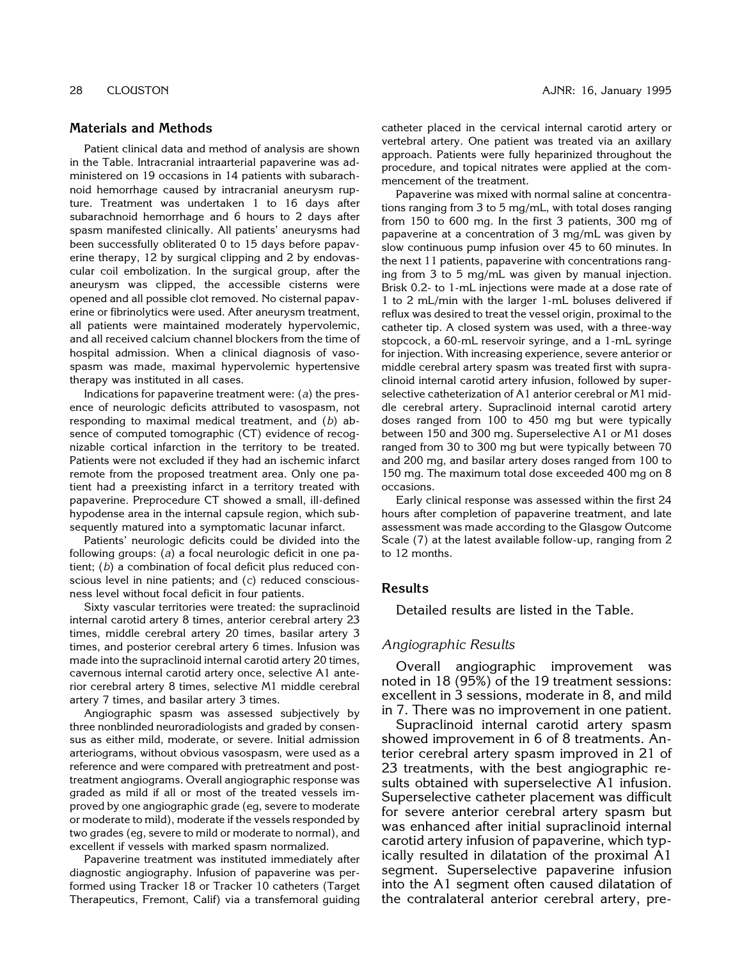### **Materials and Methods**

Patient clinical data and method of analysis are shown in the Table. Intracranial intraarterial papaverine was administered on 19 occasions in 14 patients with subarachnoid hemorrhage caused by intracranial aneurysm rupture. Treatment was undertaken 1 to 16 days after subarachnoid hemorrhage and 6 hours to 2 days after spasm manifested clinically. All patients' aneurysms had been successfully obliterated 0 to 15 days before papaverine therapy, 12 by surgical clipping and 2 by endovascular coil embolization. In the surgical group, after the aneurysm was clipped, the accessible cisterns were opened and all possible clot removed. No cisternal papaverine or fibrinolytics were used. After aneurysm treatment, all patients were maintained moderately hypervolemic, and all received calcium channel blockers from the time of hospital admission. When a clinical diagnosis of vasospasm was made, maximal hypervolemic hypertensive therapy was instituted in all cases.

Indications for papaverine treatment were: (*a*) the presence of neurologic deficits attributed to vasospasm, not responding to maximal medical treatment, and (*b*) absence of computed tomographic (CT) evidence of recognizable cortical infarction in the territory to be treated. Patients were not excluded if they had an ischemic infarct remote from the proposed treatment area. Only one patient had a preexisting infarct in a territory treated with papaverine. Preprocedure CT showed a small, ill-defined hypodense area in the internal capsule region, which subsequently matured into a symptomatic lacunar infarct.

Patients' neurologic deficits could be divided into the following groups: (*a*) a focal neurologic deficit in one patient; (*b*) a combination of focal deficit plus reduced conscious level in nine patients; and (*c*) reduced consciousness level without focal deficit in four patients.

Sixty vascular territories were treated: the supraclinoid internal carotid artery 8 times, anterior cerebral artery 23 times, middle cerebral artery 20 times, basilar artery 3 times, and posterior cerebral artery 6 times. Infusion was made into the supraclinoid internal carotid artery 20 times, cavernous internal carotid artery once, selective A1 anterior cerebral artery 8 times, selective M1 middle cerebral artery 7 times, and basilar artery 3 times.

Angiographic spasm was assessed subjectively by three nonblinded neuroradiologists and graded by consensus as either mild, moderate, or severe. Initial admission arteriograms, without obvious vasospasm, were used as a reference and were compared with pretreatment and posttreatment angiograms. Overall angiographic response was graded as mild if all or most of the treated vessels improved by one angiographic grade (eg, severe to moderate or moderate to mild), moderate if the vessels responded by two grades (eg, severe to mild or moderate to normal), and excellent if vessels with marked spasm normalized.

Papaverine treatment was instituted immediately after diagnostic angiography. Infusion of papaverine was performed using Tracker 18 or Tracker 10 catheters (Target Therapeutics, Fremont, Calif) via a transfemoral guiding catheter placed in the cervical internal carotid artery or vertebral artery. One patient was treated via an axillary approach. Patients were fully heparinized throughout the procedure, and topical nitrates were applied at the commencement of the treatment.

Papaverine was mixed with normal saline at concentrations ranging from 3 to 5 mg/mL, with total doses ranging from 150 to 600 mg. In the first 3 patients, 300 mg of papaverine at a concentration of 3 mg/mL was given by slow continuous pump infusion over 45 to 60 minutes. In the next 11 patients, papaverine with concentrations ranging from 3 to 5 mg/mL was given by manual injection. Brisk 0.2- to 1-mL injections were made at a dose rate of 1 to 2 mL/min with the larger 1-mL boluses delivered if reflux was desired to treat the vessel origin, proximal to the catheter tip. A closed system was used, with a three-way stopcock, a 60-mL reservoir syringe, and a 1-mL syringe for injection. With increasing experience, severe anterior or middle cerebral artery spasm was treated first with supraclinoid internal carotid artery infusion, followed by superselective catheterization of A1 anterior cerebral or M1 middle cerebral artery. Supraclinoid internal carotid artery doses ranged from 100 to 450 mg but were typically between 150 and 300 mg. Superselective A1 or M1 doses ranged from 30 to 300 mg but were typically between 70 and 200 mg, and basilar artery doses ranged from 100 to 150 mg. The maximum total dose exceeded 400 mg on 8 occasions.

Early clinical response was assessed within the first 24 hours after completion of papaverine treatment, and late assessment was made according to the Glasgow Outcome Scale (7) at the latest available follow-up, ranging from 2 to 12 months.

# **Results**

Detailed results are listed in the Table.

#### *Angiographic Results*

Overall angiographic improvement was noted in 18 (95%) of the 19 treatment sessions: excellent in 3 sessions, moderate in 8, and mild in 7. There was no improvement in one patient.

Supraclinoid internal carotid artery spasm showed improvement in 6 of 8 treatments. Anterior cerebral artery spasm improved in 21 of 23 treatments, with the best angiographic results obtained with superselective A1 infusion. Superselective catheter placement was difficult for severe anterior cerebral artery spasm but was enhanced after initial supraclinoid internal carotid artery infusion of papaverine, which typically resulted in dilatation of the proximal A1 segment. Superselective papaverine infusion into the A1 segment often caused dilatation of the contralateral anterior cerebral artery, pre-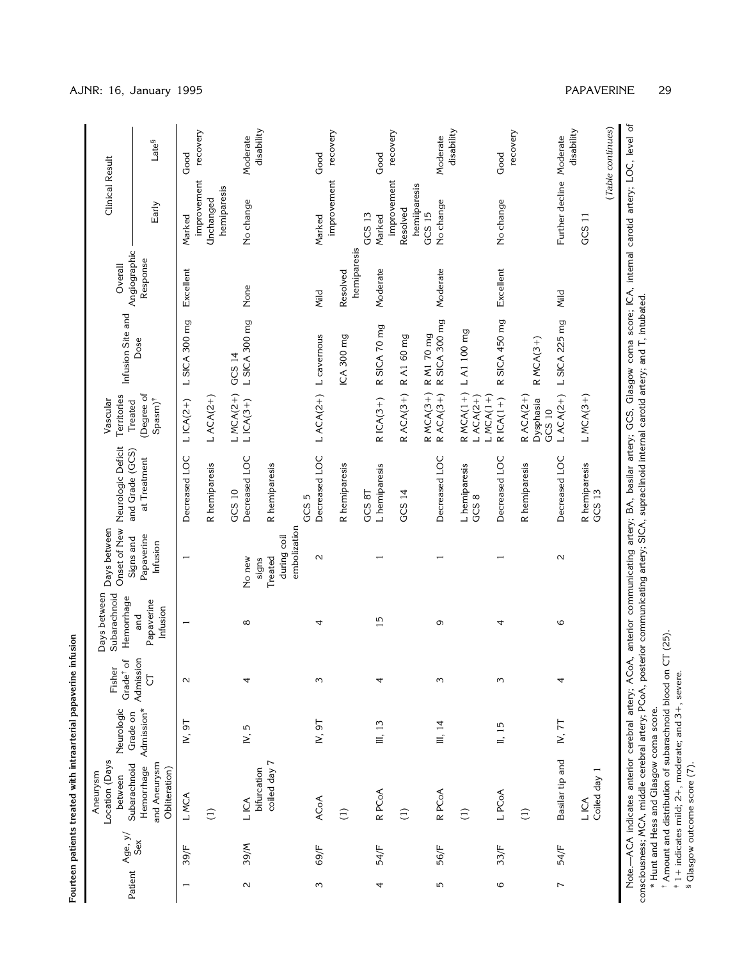| Fisher<br>Neurologic<br>Location (Days<br>Aneurysm                                                          |  |                                                  | Days between<br>Subarachnoid                | Days between                        | Onset of New Neurologic Deficit    | Territories<br>Vascular                |                           | Overall                  | Clinical Result          |                        |
|-------------------------------------------------------------------------------------------------------------|--|--------------------------------------------------|---------------------------------------------|-------------------------------------|------------------------------------|----------------------------------------|---------------------------|--------------------------|--------------------------|------------------------|
| Admission*<br>Grade on<br>and Aneurysm<br>Subarachnoid<br>Hemorrhage<br>Obliteration)<br>between<br>Age, y/ |  | Admission<br>$\sigma$<br>Grade <sup>†</sup><br>Ğ | Hemorrhage<br>Papaverine<br>Infusion<br>and | Papaverine<br>Signs and<br>Infusion | and Grade (GCS)<br>at Treatment    | (Degree of<br>$Spanj^*$<br>Treated     | Infusion Site and<br>Dose | Angiographic<br>Response | Early                    | Late <sup>§</sup>      |
| IV, 9T<br>L MCA                                                                                             |  | $\sim$                                           | $\overline{ }$                              | $\overline{ }$                      | Decreased LOC                      | $LICA(2+)$                             | L SICA 300 mg             | Excellent                | improvement<br>Marked    | recovery<br>Good       |
| $\left(1\right)$                                                                                            |  |                                                  |                                             |                                     | R hemiparesis                      | $LACA(2+)$                             |                           |                          | hemiparesis<br>Unchanged |                        |
| 4<br>N, 5<br>L ICA                                                                                          |  |                                                  | ${}^{\circ}$                                | No new                              | Decreased LOC<br>GCS <sub>10</sub> | $LMCA(2+)$<br>$LICA(3+)$               | L SICA 300 mg<br>GCS 14   | None                     | No change                | Moderate               |
| coiled day 7<br>bifurcation                                                                                 |  |                                                  |                                             | Treated<br>signs                    | R hemiparesis                      |                                        |                           |                          |                          | disability             |
|                                                                                                             |  |                                                  |                                             | embolization<br>during coil         |                                    |                                        |                           |                          |                          |                        |
| ξ<br>IV, 9T<br><b>ACoA</b>                                                                                  |  |                                                  | 4                                           | $\sim$                              | Decreased LOC<br>GCS 5             |                                        | LACA(2+) L cavemous       | Mild                     | Marked                   | Good                   |
|                                                                                                             |  |                                                  |                                             |                                     |                                    |                                        |                           |                          | improvement              | recovery               |
| $\widehat{E}$                                                                                               |  |                                                  |                                             |                                     | R hemiparesis                      |                                        | ICA 300 mg                | hemiparesis<br>Resolved  |                          |                        |
| 4<br>III, 13<br>R PC <sub>O</sub> A                                                                         |  |                                                  | 15                                          |                                     | L hemiparesis<br>GCS 8T            | $R$ ICA $(3+)$                         | R SICA 70 mg              | Moderate                 | GCS 13<br>Marked         | Good                   |
| $\widehat{E}$                                                                                               |  |                                                  |                                             |                                     | GCS 14                             | $R$ ACA(3+)                            | R A1 60 mg                |                          | improvement<br>Resolved  | recovery               |
|                                                                                                             |  |                                                  |                                             |                                     |                                    | R MCA(3+)<br>R ACA(3+)                 | R M1 70 mg                |                          | hemiiparesis<br>GCS 15   |                        |
| S<br>III, 14<br>R PC <sub>O</sub> A                                                                         |  |                                                  | ς                                           |                                     | Decreased LOC                      |                                        | R SICA 300 mg             | Moderate                 | No change                | disability<br>Moderate |
| $\widehat{c}$                                                                                               |  |                                                  |                                             |                                     | L hemiparesis<br>GCS8              | $RMCA(1+)$<br>$LMCA(1+)$<br>$LACA(2+)$ | L A1 100 mg               |                          |                          |                        |
| $\omega$<br>$\overline{1,15}$<br>L PCoA                                                                     |  |                                                  | 4                                           |                                     | Decreased LOC                      | $R$ ICA $(1+)$                         | R SICA 450 mg             | Excellent                | No change                | Good                   |
| $\widehat{L}$                                                                                               |  |                                                  |                                             |                                     | R hemiparesis                      | $R$ ACA(2+)<br>Dysphasia<br>GCS 10     | $R MCA(3+)$               |                          |                          | recovery               |
| 4<br>IV, $7T$<br>Basilar tip and                                                                            |  |                                                  | $\circ$                                     | $\sim$                              | Decreased LOC                      | $LACA(2+)$                             | L SICA 225 mg             | Mild                     | Further decline Moderate | disability             |
| Coiled day 1<br>L ICA                                                                                       |  |                                                  |                                             |                                     | R hemiparesis<br>GCS 13            | $LMCA(3+)$                             |                           |                          | GCS <sub>11</sub>        |                        |
|                                                                                                             |  |                                                  |                                             |                                     |                                    |                                        |                           |                          |                          | (Table continues)      |

**Fourteen patients treated with intraarterial papaverine infusion**

consciousness; MCA, middle cerebral artery; PCoA, posterior communicating artery; SICA, supraclinoid internal carotid artery; and T, intubated. \* Hunt and Hess and Glasgow coma score.

†‡Amount and distribution of subarachnoid blood on CT (25).

11 indicates mild; 21, moderate; and 31, severe. § Glasgow outcome score (7).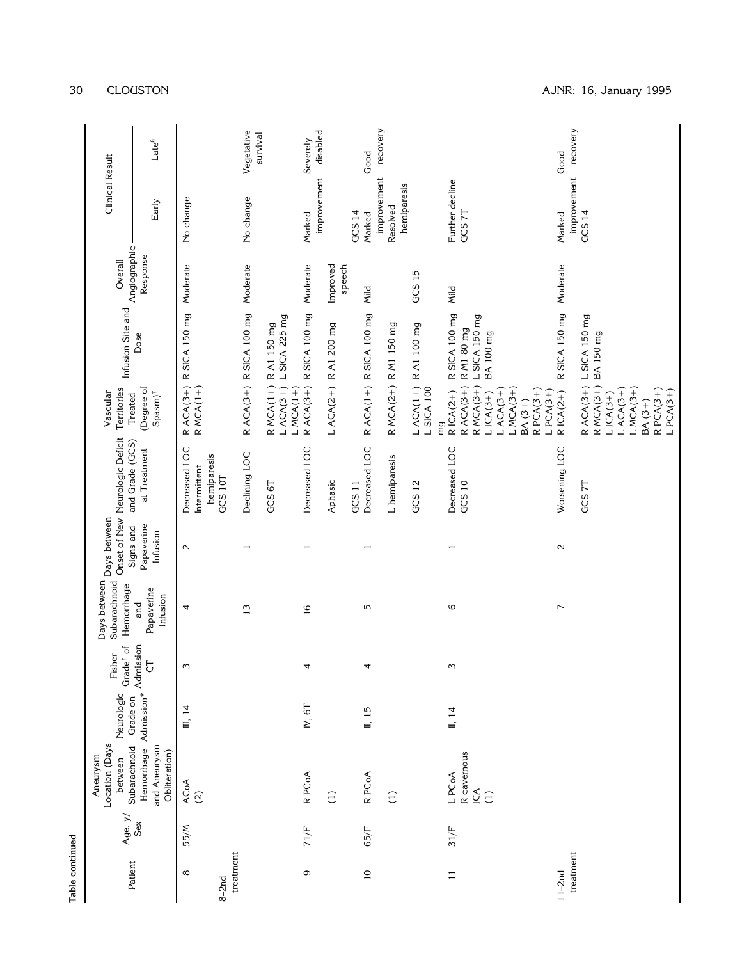| Table continued       |         |                                                       |                         |                                    |                                            |                                     |                                                         |                                                                                                                                            |                                                                 |                    |                           |                        |
|-----------------------|---------|-------------------------------------------------------|-------------------------|------------------------------------|--------------------------------------------|-------------------------------------|---------------------------------------------------------|--------------------------------------------------------------------------------------------------------------------------------------------|-----------------------------------------------------------------|--------------------|---------------------------|------------------------|
| Patient               | Age, y/ | Location (Days<br>Subarachnoid<br>Aneurysm<br>between | Neurologic<br>Grade on  | Grade <sup>†</sup> of<br>đ<br>Fish | Days between<br>Subarachnoid<br>Hemorrhage | Days between                        | Onset of New Neurologic Deficit<br>and Grade (GCS)      | Territories<br>Treated<br>Vascular                                                                                                         | Infusion Site and Angiographic                                  |                    | <b>Clinical Result</b>    |                        |
|                       | Sex     | Hemorrhage<br>and Aneurysm<br>Obliteration)           | Admission*<br>Admission | Ğ                                  | Papaverine<br>Infusion<br>and              | Papaverine<br>Signs and<br>Infusion | at Treatment                                            | (Degree of<br>Spasm) <sup>#</sup>                                                                                                          | Dose                                                            | Response           | Early                     | Late <sup>§</sup>      |
| $\infty$<br>$8-2nd$   | 55/M    | $ACOA$<br>(2)                                         | III, 14                 | $\sim$                             | 4                                          | $\sim$                              | Decreased LOC<br>hemiparesis<br>Intermittent<br>GCS 10T | $R$ ACA(3+)<br>R MCA(1+)                                                                                                                   | R SICA 150 mg                                                   | Moderate           | No change                 |                        |
| treatment             |         |                                                       |                         |                                    | 13                                         | $\overline{\phantom{0}}$            | Declining LOC                                           |                                                                                                                                            | R ACA(3+) R SICA 100 mg                                         | Moderate           | No change                 | Vegetative<br>survival |
|                       |         |                                                       |                         |                                    |                                            |                                     | GCS 6T                                                  | $R MCA(1+)$<br>$LACA(3+)$<br>$LMCA(1+)$                                                                                                    | L SICA 225 mg<br>R A1 150 mg                                    |                    |                           |                        |
| G                     | 71/F    | R PCoA                                                | IV, 6T                  | 4                                  | $\frac{6}{1}$                              | $\overline{\phantom{0}}$            | Decreased LOC                                           | $R$ ACA(3+)                                                                                                                                | R SICA 100 mg                                                   | Moderate           | improvement<br>Marked     | disabled<br>Severely   |
|                       |         | $\widehat{\Xi}$                                       |                         |                                    |                                            |                                     | Aphasic                                                 |                                                                                                                                            | LACA(2+) RA1 200 mg                                             | Improved<br>speech |                           |                        |
|                       | 65/F    | R PC <sub>o</sub> A                                   |                         |                                    | 5                                          |                                     | GCS <sub>11</sub>                                       |                                                                                                                                            |                                                                 |                    | GCS 14                    |                        |
| $\overline{10}$       |         |                                                       | II, 15                  | 4                                  |                                            |                                     | Decreased LOC                                           |                                                                                                                                            | R ACA(1+) R SICA 100 mg                                         | Mild               | improvement<br>Marked     | recovery<br>Good       |
|                       |         | $\widehat{=}$                                         |                         |                                    |                                            |                                     | L hemiparesis                                           |                                                                                                                                            | R MCA(2+) R M1 150 mg                                           |                    | hemiparesis<br>Resolved   |                        |
|                       |         |                                                       |                         |                                    |                                            |                                     | GCS 12                                                  | $LACA(1+)$<br><b>L SICA 100</b>                                                                                                            | R A1 100 mg                                                     | GCS 15             |                           |                        |
| $\Box$                | 31/F    | R cavernous<br>L PCoA<br>LCA<br>$\widehat{\Xi}$       | II, 14                  | $\omega$                           | $\circ$                                    | $\overline{\phantom{0}}$            | Decreased LOC<br>GCS 10                                 | $R$ ACA $(3+)$<br>$R MCA(3+)$<br>$R$ PCA $(3+)$<br>$LACA(3+)$<br>$LMCA(3+)$<br>$R$ ICA $(2+)$<br>$LPCA(3+)$<br>$LICA(3+)$<br>BA (3+)<br>mg | R SICA 100 mg<br>L SICA 150 mg<br>R M1 80 mg<br><b>BA100 mg</b> | Mild               | Further decline<br>GCS 7T |                        |
| treatment<br>$11-2nd$ |         |                                                       |                         |                                    | $\overline{ }$                             | $\sim$                              | Worsening LOC                                           | $R$ ICA(2+)                                                                                                                                | R SICA 150 mg                                                   | Moderate           | improvement<br>Marked     | recovery<br>Good       |
|                       |         |                                                       |                         |                                    |                                            |                                     | GCS 7T                                                  | $R$ PCA $(3+)$<br>$LACA(3+)$<br>$LMCA(3+)$<br>$LPCA(3+)$<br>$LICA(3+)$<br>BA (3+)                                                          | R ACA(3+) L SICA 150 mg<br>R MCA(3+) BA 150 mg                  |                    | GCS 14                    |                        |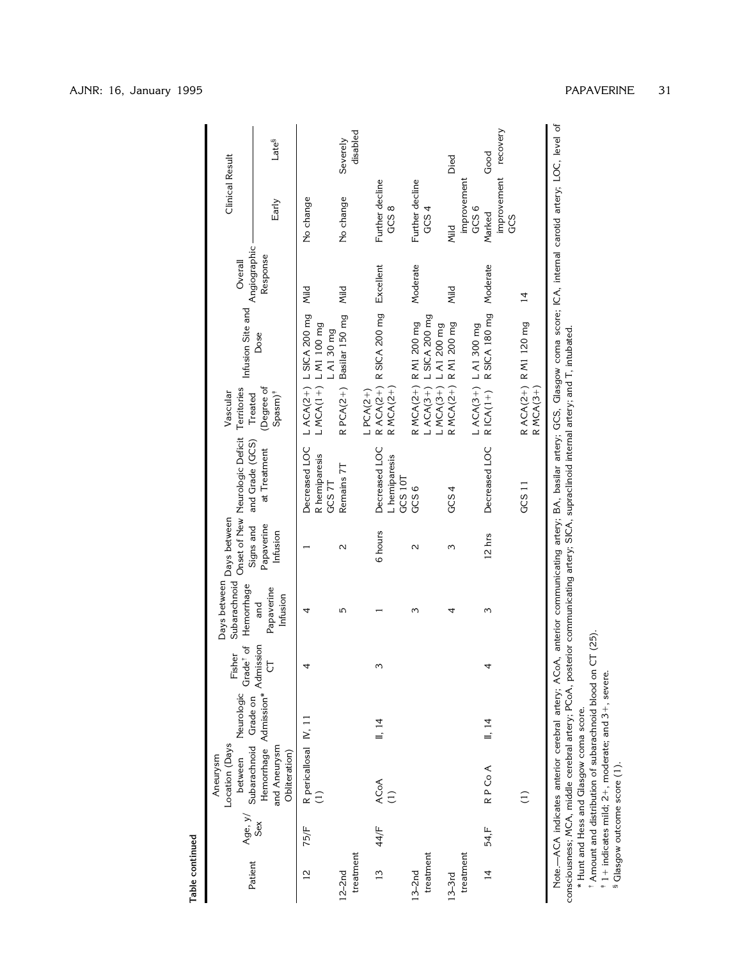|                                                                | Late <sup>§</sup>                                                |                                          | disabled<br>Severely    |                                           |                                                                         | Died                  | Good                                               |                                     |                                                                                                                                                                             |
|----------------------------------------------------------------|------------------------------------------------------------------|------------------------------------------|-------------------------|-------------------------------------------|-------------------------------------------------------------------------|-----------------------|----------------------------------------------------|-------------------------------------|-----------------------------------------------------------------------------------------------------------------------------------------------------------------------------|
| Clinical Result                                                | Early                                                            | No change                                | No change               | Further decline<br>GCS <sub>8</sub>       | Further decline<br>GCS4                                                 | improvement<br>Mild   | improvement recovery<br>GCS <sub>6</sub><br>Marked | GCS                                 | Note.—ACA indicates anterior cerebral artery; ACoA, anterior communicating artery; BA, basilar artery; GCS, Glasgow coma score; ICA, internal carotid artery; LOC, level of |
| Angiographic<br>Overall                                        | Response                                                         | Mild                                     | Mild                    | Excellent                                 | Moderate                                                                | Mild                  | Moderate                                           | $\overline{4}$                      |                                                                                                                                                                             |
| Infusion Site and                                              | Dose                                                             | LACA(2+) LSICA 200 mg<br>L A1 30 mg      | Basilar 150 mg          | R ACA(2+) R SICA 200 mg                   |                                                                         |                       | R SICA 180 mg                                      |                                     |                                                                                                                                                                             |
| Territories<br>Vascular<br>Treated                             | (Degree of<br>$Spanj^*$                                          | L MCA(1+) L M1 100 mg                    | $RPCA(2+)$              | $R MCA(2+)$<br>$LPCA(2+)$                 | LACA(3+) LSICA 200 mg<br>R MCA(2+) R M1 200 mg<br>L MCA(3+) L A1 200 mg | R MCA(2+) R M1 200 mg | L ACA(3+) L A1 300 mg<br>$R$ ICA(1+)               | R ACA(2+) R M1 120 mg<br>$RMCA(3+)$ |                                                                                                                                                                             |
| Onset of New Neurologic Deficit<br>and Grade (GCS)             | at Treatment                                                     | Decreased LOC<br>R hemiparesis<br>GCS 7T | Remains 7T              | Decreased LOC<br>L hemiparesis<br>GCS 10T | GCS6                                                                    | GCS4                  | Decreased LOC                                      | GCS <sub>11</sub>                   |                                                                                                                                                                             |
| Days between                                                   | Papaverine<br>Signs and<br>Infusion                              |                                          | $\sim$                  | 6 hours                                   | $\mathbf{\Omega}$                                                       | Σ                     | 12 hrs                                             |                                     |                                                                                                                                                                             |
| Days between<br>Subarachnoid<br>Hemorrhage                     | Papaverine<br>Infusion<br>and                                    | 4                                        | 5                       |                                           | ω                                                                       | 4                     | ω                                                  |                                     |                                                                                                                                                                             |
| Neurologic Grade <sup>†</sup> of<br>Fisher                     | $\overline{C}$                                                   |                                          |                         |                                           |                                                                         |                       |                                                    |                                     |                                                                                                                                                                             |
|                                                                |                                                                  |                                          |                         | II, 14                                    |                                                                         |                       | II, 14                                             |                                     |                                                                                                                                                                             |
| Subarachnoid Grade on<br>Location (Days<br>Aneurysm<br>between | Hemorrhage Admission* Admission<br>and Aneurysm<br>Obliteration) | R pericallosal IV, 11                    |                         | ACoA<br>$\overline{1}$                    |                                                                         |                       | RP Co A                                            | $\widehat{\Xi}$                     |                                                                                                                                                                             |
| Age, y/                                                        | Sex                                                              | 75/F                                     |                         | 44/F                                      |                                                                         |                       | 54,F                                               |                                     |                                                                                                                                                                             |
| Patient                                                        |                                                                  | $\frac{2}{3}$                            | treatment<br>$12 - 2nd$ | $\frac{1}{2}$                             | treatment<br>$13-2nd$                                                   | treatment<br>$13-3rd$ | $\overline{4}$                                     |                                     |                                                                                                                                                                             |

Note.—ACA indicates anterior cerebral artery; ACoA, anterior communicating artery; BA, basilar artery; GCS, Glasgow coma score; ICA, internal carotid artery; LOC, level of Note.—ACA indicates anterior cerebral artery; ACoA, anterior communicating artery; BA, basilar artery; GCS, Glasgow coma scc<br>consciousness; MCA, middle cerebral artery; PCoA, posterior communicating artery; SICA, supraclin consciousness; MCA, middle cerebral artery; PCoA, posterior communicating artery; SICA, supraclinoid internal artery; and T, intubated.

\* Hunt and Hess and Glasgow coma score.

†‡Amount and distribution of subarachnoid blood on CT (25).

11 indicates mild; 21, moderate; and 31, severe. § Glasgow outcome score (1).

Table continued **Table continued**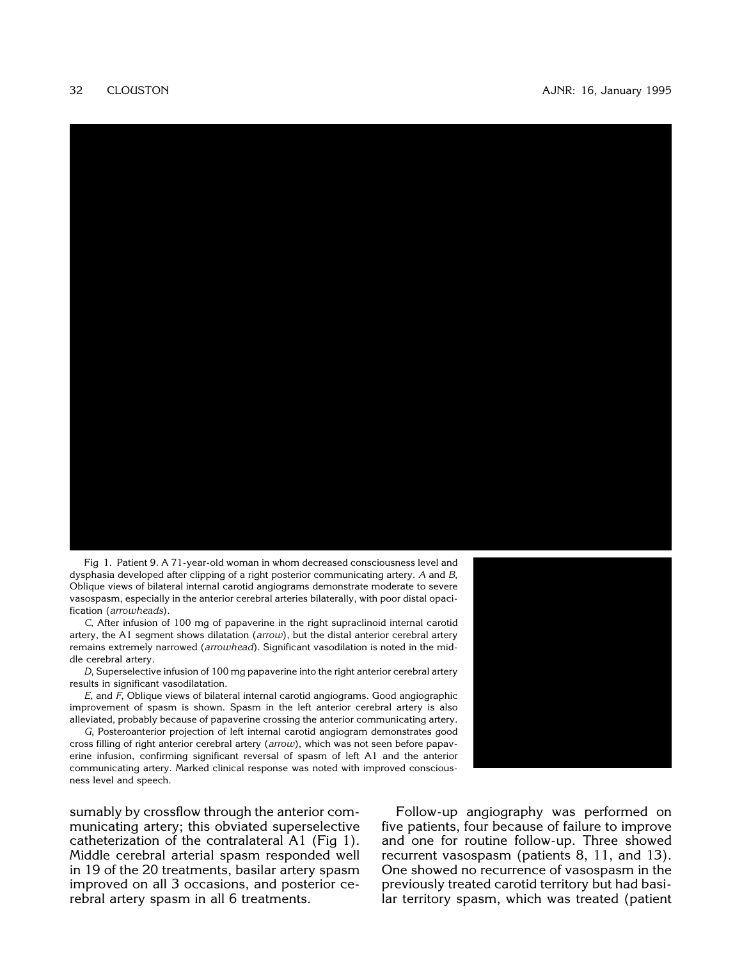

Fig 1. Patient 9. A 71-year-old woman in whom decreased consciousness level and dysphasia developed after clipping of a right posterior communicating artery. *A* and *B*, Oblique views of bilateral internal carotid angiograms demonstrate moderate to severe vasospasm, especially in the anterior cerebral arteries bilaterally, with poor distal opacification (*arrowheads*).

*C*, After infusion of 100 mg of papaverine in the right supraclinoid internal carotid artery, the A1 segment shows dilatation (*arrow*), but the distal anterior cerebral artery remains extremely narrowed (*arrowhead*). Significant vasodilation is noted in the middle cerebral artery.

*D*, Superselective infusion of 100 mg papaverine into the right anterior cerebral artery results in significant vasodilatation.

*E*, and *F*, Oblique views of bilateral internal carotid angiograms. Good angiographic improvement of spasm is shown. Spasm in the left anterior cerebral artery is also alleviated, probably because of papaverine crossing the anterior communicating artery.

*G*, Posteroanterior projection of left internal carotid angiogram demonstrates good cross filling of right anterior cerebral artery (*arrow*), which was not seen before papav[erine infusion, confirming significant reversal of spasm of left A1 and the anterior](#page-12-0) communicating artery. Marked clinical response was noted with improved consciousness level and speech.

sumably by crossflow through the anterior communicating artery; this obviated superselective catheterization of the contralateral A1 (Fig 1). Middle cerebral arterial spasm responded well in 19 of the 20 treatments, basilar artery spasm improved on all 3 occasions, and posterior cerebral artery spasm in all 6 treatments.

Follow-up angiography was performed on five patients, four because of failure to improve and one for routine follow-up. Three showed recurrent vasospasm (patients 8, 11, and 13). One showed no recurrence of vasospasm in the previously treated carotid territory but had basilar territory spasm, which was treated (patient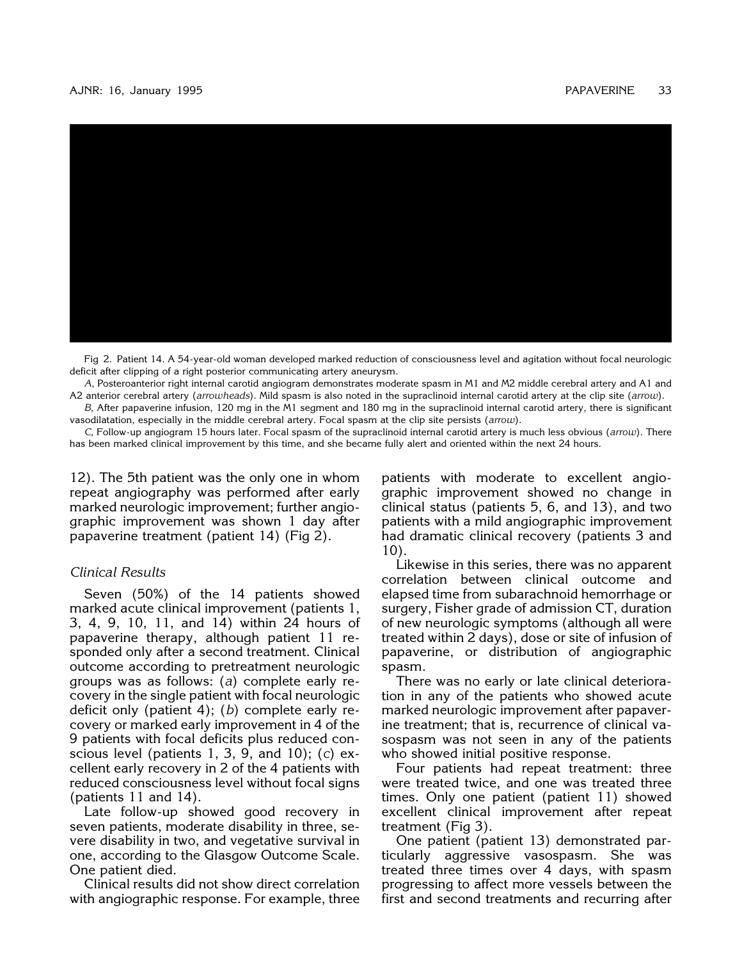#### AJNR: 16, January 1995 PAPAVERINE 33



[Fig 2. Patient 14. A 54-year-old woman developed marked reduction of consciousness level and agitation without focal neurologic](#page-13-0) deficit after clipping of a right posterior communicating artery aneurysm.

*A*, Posteroanterior right internal carotid angiogram demonstrates moderate spasm in M1 and M2 middle cerebral artery and A1 and A2 anterior cerebral artery (*arrowheads*). Mild spasm is also noted in the supraclinoid internal carotid artery at the clip site (*arrow*).

*B*, After papaverine infusion, 120 mg in the M1 segment and 180 mg in the supraclinoid internal carotid artery, there is significant vasodilatation, especially in the middle cerebral artery. Focal spasm at the clip site persists (*arrow*).

*C*, Follow-up angiogram 15 hours later. Focal spasm of the supraclinoid internal carotid artery is much less obvious (*arrow*). There has been marked clinical improvement by this time, and she became fully alert and oriented within the next 24 hours.

12). The 5th patient was the only one in whom repeat angiography was performed after early marked neurologic improvement; further angiographic improvement was shown 1 day after papaverine treatment (patient 14) (Fig 2).

#### *Clinical Results*

Seven (50%) of the 14 patients showed marked acute clinical improvement (patients 1, 3, 4, 9, 10, 11, and 14) within 24 hours of papaverine therapy, although patient 11 responded only after a second treatment. Clinical outcome according to pretreatment neurologic groups was as follows: (*a*) complete early recovery in the single patient with focal neurologic deficit only (patient 4); (*b*) complete early recovery or marked early improvement in 4 of the 9 patients with focal deficits plus reduced conscious level (patients 1, 3, 9, and 10); (*c*) excellent early recovery in 2 of the 4 patients with reduced consciousness level without focal signs (patients 11 and 14).

Late follow-up showed good recovery in seven patients, moderate disability in three, severe disability in two, and vegetative survival in one, according to the Glasgow Outcome Scale. One patient died.

Clinical results did not show direct correlation with angiographic response. For example, three

patients with moderate to excellent angiographic improvement showed no change in clinical status (patients 5, 6, and 13), and two patients with a mild angiographic improvement had dramatic clinical recovery (patients 3 and 10).

Likewise in this series, there was no apparent correlation between clinical outcome and elapsed time from subarachnoid hemorrhage or surgery, Fisher grade of admission CT, duration of new neurologic symptoms (although all were treated within 2 days), dose or site of infusion of papaverine, or distribution of angiographic spasm.

There was no early or late clinical deterioration in any of the patients who showed acute marked neurologic improvement after papaverine treatment; that is, recurrence of clinical vasospasm was not seen in any of the patients who showed initial positive response.

Four patients had repeat treatment: three were treated twice, and one was treated three times. Only one patient (patient 11) showed excellent clinical improvement after repeat treatment (Fig 3).

One patient (patient 13) demonstrated particularly aggressive vasospasm. She was treated three times over 4 days, with spasm progressing to affect more vessels between the first and second treatments and recurring after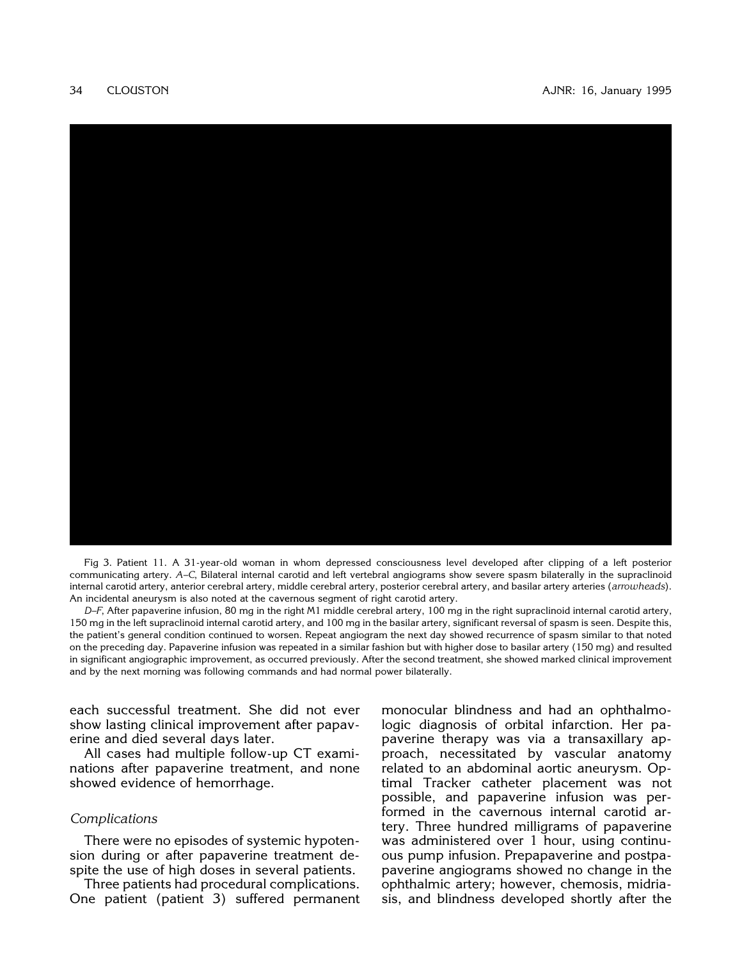

Fig 3. Patient 11. A 31-year-old woman in whom depressed consciousness level developed after clipping of a left posterior communicating artery. *A–C*, Bilateral internal carotid and left vertebral angiograms show severe spasm bilaterally in the supraclinoid internal carotid artery, anterior cerebral artery, middle cerebral artery, posterior cerebral artery, and basilar artery arteries (*arrowheads*). An incidental aneurysm is also noted at the cavernous segment of right carotid artery.

*D–F*, After papaverine infusion, 80 mg in the right M1 middle cerebral artery, 100 mg in the right supraclinoid internal carotid artery, 150 mg in the left supraclinoid internal carotid artery, and 100 mg in the basilar artery, significant reversal of spasm is seen. Despite this, the patient's general condition continued to worsen. Repeat angiogram the next day showed recurrence of spasm similar to that noted [on the preceding day. Papaverine infusion was repeated in a similar fashion but with higher dose to basilar artery \(150 mg\) and resulted](#page-14-0) in significant angiographic improvement, as occurred previously. After the second treatment, she showed marked clinical improvement and by the next morning was following commands and had normal power bilaterally.

each successful treatment. She did not ever show lasting clinical improvement after papaverine and died several days later.

All cases had multiple follow-up CT examinations after papaverine treatment, and none showed evidence of hemorrhage.

# *Complications*

There were no episodes of systemic hypotension during or after papaverine treatment despite the use of high doses in several patients.

Three patients had procedural complications. One patient (patient 3) suffered permanent monocular blindness and had an ophthalmologic diagnosis of orbital infarction. Her papaverine therapy was via a transaxillary approach, necessitated by vascular anatomy related to an abdominal aortic aneurysm. Optimal Tracker catheter placement was not possible, and papaverine infusion was performed in the cavernous internal carotid artery. Three hundred milligrams of papaverine was administered over 1 hour, using continuous pump infusion. Prepapaverine and postpapaverine angiograms showed no change in the ophthalmic artery; however, chemosis, midriasis, and blindness developed shortly after the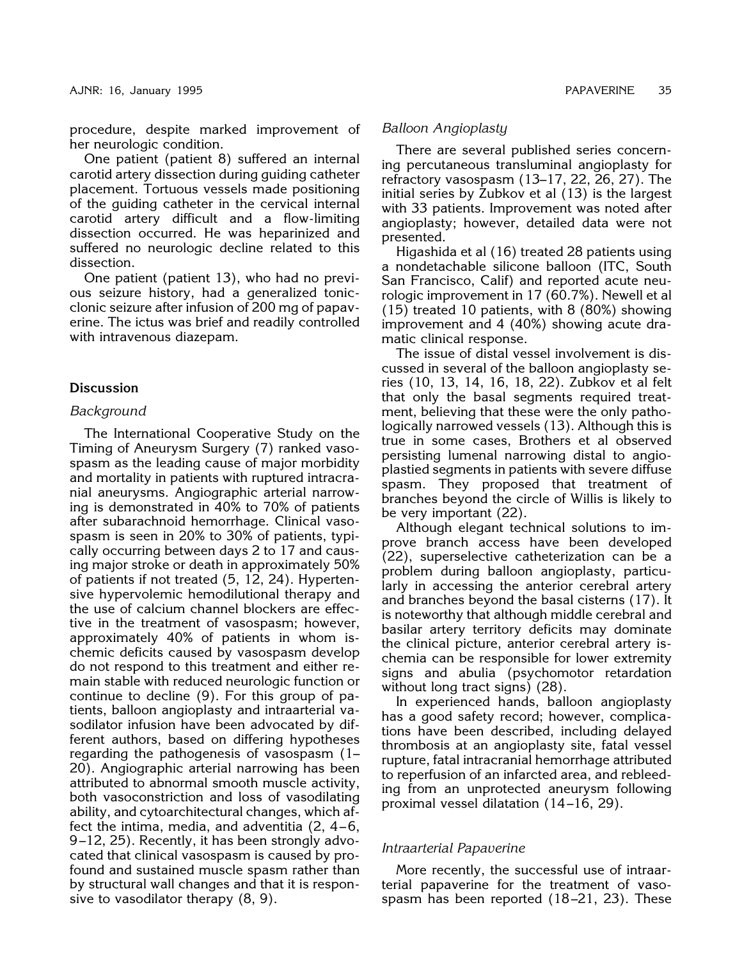procedure, despite marked improvement of her neurologic condition.

One patient (patient 8) suffered an internal carotid artery dissection during guiding catheter placement. Tortuous vessels made positioning of the guiding catheter in the cervical internal carotid artery difficult and a flow-limiting dissection occurred. He was heparinized and suffered no neurologic decline related to this dissection.

One patient (patient 13), who had no previous seizure history, had a generalized tonicclonic seizure after infusion of 200 mg of papaverine. The ictus was brief and readily controlled with intravenous diazepam.

# **Discussion**

## *Background*

The International Cooperative Study on the Timing of Aneurysm Surgery (7) ranked vasospasm as the leading cause of major morbidity and mortality in patients with ruptured intracranial aneurysms. Angiographic arterial narrowing is demonstrated in 40% to 70% of patients after subarachnoid hemorrhage. Clinical vasospasm is seen in 20% to 30% of patients, typically occurring between days 2 to 17 and causing major stroke or death in approximately 50% of patients if not treated (5, 12, 24). Hypertensive hypervolemic hemodilutional therapy and the use of calcium channel blockers are effective in the treatment of vasospasm; however, approximately 40% of patients in whom ischemic deficits caused by vasospasm develop do not respond to this treatment and either remain stable with reduced neurologic function or continue to decline (9). For this group of patients, balloon angioplasty and intraarterial vasodilator infusion have been advocated by different authors, based on differing hypotheses regarding the pathogenesis of vasospasm (1– 20). Angiographic arterial narrowing has been attributed to abnormal smooth muscle activity, both vasoconstriction and loss of vasodilating ability, and cytoarchitectural changes, which affect the intima, media, and adventitia  $(2, 4-6, 6)$ 9 –12, 25). Recently, it has been strongly advocated that clinical vasospasm is caused by profound and sustained muscle spasm rather than by structural wall changes and that it is responsive to vasodilator therapy (8, 9).

There are several published series concerning percutaneous transluminal angioplasty for refractory vasospasm (13–17, 22, 26, 27). The initial series by Zubkov et al (13) is the largest with 33 patients. Improvement was noted after angioplasty; however, detailed data were not presented.

Higashida et al (16) treated 28 patients using a nondetachable silicone balloon (ITC, South San Francisco, Calif) and reported acute neurologic improvement in 17 (60.7%). Newell et al (15) treated 10 patients, with 8 (80%) showing improvement and 4 (40%) showing acute dramatic clinical response.

The issue of distal vessel involvement is discussed in several of the balloon angioplasty series (10, 13, 14, 16, 18, 22). Zubkov et al felt that only the basal segments required treatment, believing that these were the only pathologically narrowed vessels (13). Although this is true in some cases, Brothers et al observed persisting lumenal narrowing distal to angioplastied segments in patients with severe diffuse spasm. They proposed that treatment of branches beyond the circle of Willis is likely to be very important (22).

Although elegant technical solutions to improve branch access have been developed (22), superselective catheterization can be a problem during balloon angioplasty, particularly in accessing the anterior cerebral artery and branches beyond the basal cisterns (17). It is noteworthy that although middle cerebral and basilar artery territory deficits may dominate the clinical picture, anterior cerebral artery ischemia can be responsible for lower extremity signs and abulia (psychomotor retardation without long tract signs) (28).

In experienced hands, balloon angioplasty has a good safety record; however, complications have been described, including delayed thrombosis at an angioplasty site, fatal vessel rupture, fatal intracranial hemorrhage attributed to reperfusion of an infarcted area, and rebleeding from an unprotected aneurysm following proximal vessel dilatation (14 –16, 29).

# *Intraarterial Papaverine*

More recently, the successful use of intraarterial papaverine for the treatment of vasospasm has been reported (18-21, 23). These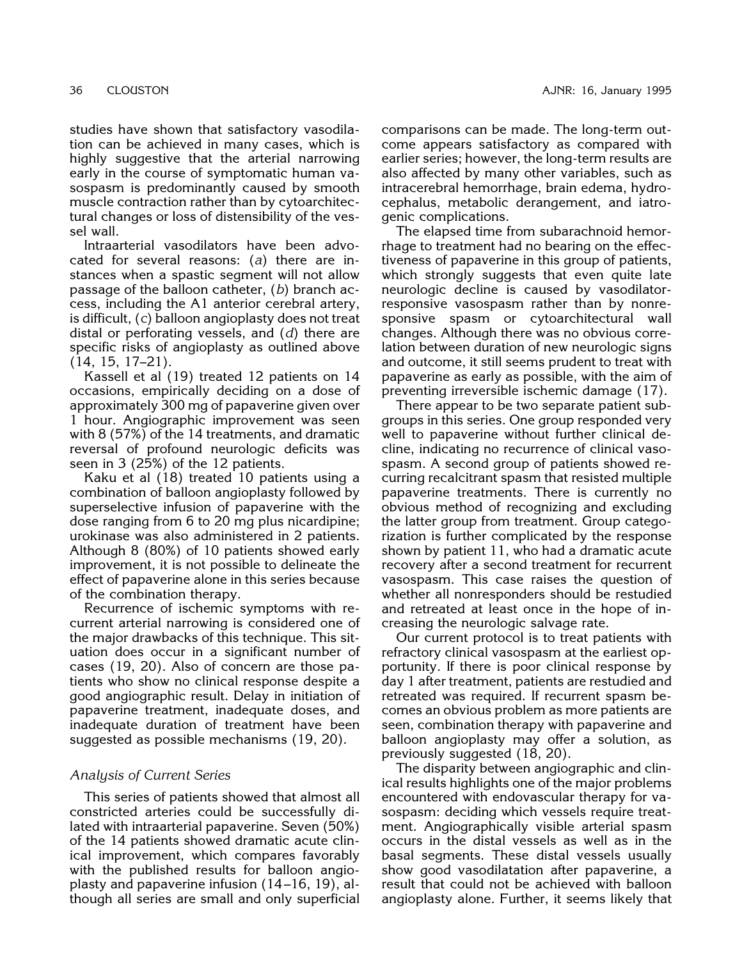studies have shown that satisfactory vasodilation can be achieved in many cases, which is highly suggestive that the arterial narrowing early in the course of symptomatic human vasospasm is predominantly caused by smooth muscle contraction rather than by cytoarchitectural changes or loss of distensibility of the vessel wall.

Intraarterial vasodilators have been advocated for several reasons: (*a*) there are instances when a spastic segment will not allow passage of the balloon catheter, (*b*) branch access, including the A1 anterior cerebral artery, is difficult, (*c*) balloon angioplasty does not treat distal or perforating vessels, and (*d*) there are specific risks of angioplasty as outlined above (14, 15, 17–21).

Kassell et al (19) treated 12 patients on 14 occasions, empirically deciding on a dose of approximately 300 mg of papaverine given over 1 hour. Angiographic improvement was seen with 8 (57%) of the 14 treatments, and dramatic reversal of profound neurologic deficits was seen in 3 (25%) of the 12 patients.

Kaku et al (18) treated 10 patients using a combination of balloon angioplasty followed by superselective infusion of papaverine with the dose ranging from 6 to 20 mg plus nicardipine; urokinase was also administered in 2 patients. Although 8 (80%) of 10 patients showed early improvement, it is not possible to delineate the effect of papaverine alone in this series because of the combination therapy.

Recurrence of ischemic symptoms with recurrent arterial narrowing is considered one of the major drawbacks of this technique. This situation does occur in a significant number of cases (19, 20). Also of concern are those patients who show no clinical response despite a good angiographic result. Delay in initiation of papaverine treatment, inadequate doses, and inadequate duration of treatment have been suggested as possible mechanisms (19, 20).

## *Analysis of Current Series*

This series of patients showed that almost all constricted arteries could be successfully dilated with intraarterial papaverine. Seven (50%) of the 14 patients showed dramatic acute clinical improvement, which compares favorably with the published results for balloon angioplasty and papaverine infusion (14 –16, 19), although all series are small and only superficial comparisons can be made. The long-term outcome appears satisfactory as compared with earlier series; however, the long-term results are also affected by many other variables, such as intracerebral hemorrhage, brain edema, hydrocephalus, metabolic derangement, and iatrogenic complications.

The elapsed time from subarachnoid hemorrhage to treatment had no bearing on the effectiveness of papaverine in this group of patients, which strongly suggests that even quite late neurologic decline is caused by vasodilatorresponsive vasospasm rather than by nonresponsive spasm or cytoarchitectural wall changes. Although there was no obvious correlation between duration of new neurologic signs and outcome, it still seems prudent to treat with papaverine as early as possible, with the aim of preventing irreversible ischemic damage (17).

There appear to be two separate patient subgroups in this series. One group responded very well to papaverine without further clinical decline, indicating no recurrence of clinical vasospasm. A second group of patients showed recurring recalcitrant spasm that resisted multiple papaverine treatments. There is currently no obvious method of recognizing and excluding the latter group from treatment. Group categorization is further complicated by the response shown by patient 11, who had a dramatic acute recovery after a second treatment for recurrent vasospasm. This case raises the question of whether all nonresponders should be restudied and retreated at least once in the hope of increasing the neurologic salvage rate.

Our current protocol is to treat patients with refractory clinical vasospasm at the earliest opportunity. If there is poor clinical response by day 1 after treatment, patients are restudied and retreated was required. If recurrent spasm becomes an obvious problem as more patients are seen, combination therapy with papaverine and balloon angioplasty may offer a solution, as previously suggested (18, 20).

The disparity between angiographic and clinical results highlights one of the major problems encountered with endovascular therapy for vasospasm: deciding which vessels require treatment. Angiographically visible arterial spasm occurs in the distal vessels as well as in the basal segments. These distal vessels usually show good vasodilatation after papaverine, a result that could not be achieved with balloon angioplasty alone. Further, it seems likely that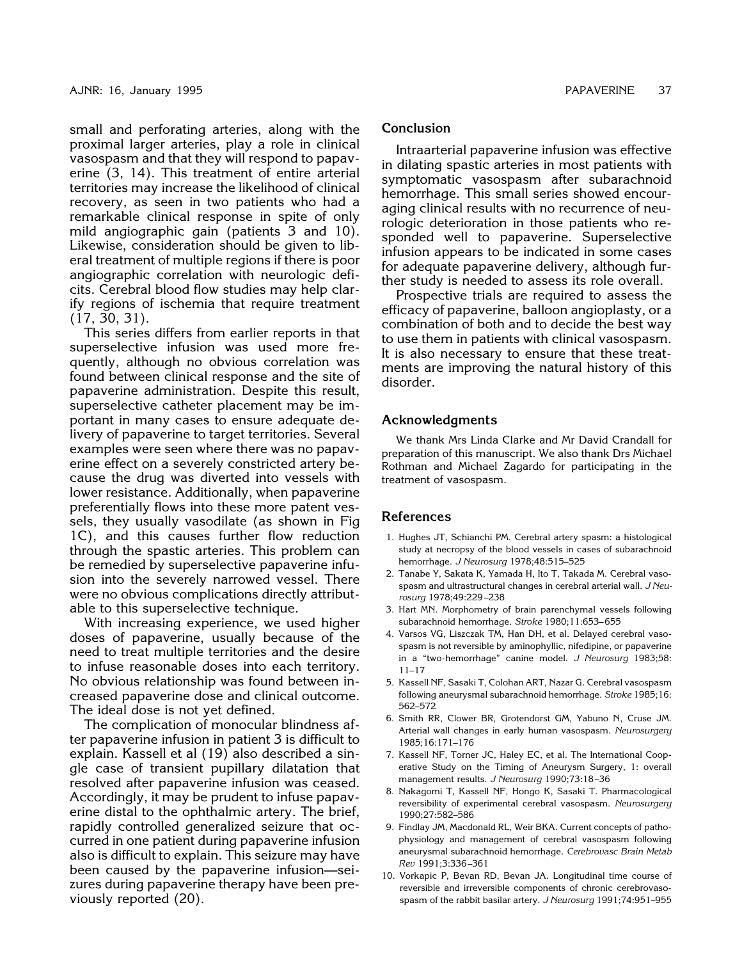small and perforating arteries, along with the proximal larger arteries, play a role in clinical vasospasm and that they will respond to papaverine (3, 14). This treatment of entire arterial territories may increase the likelihood of clinical recovery, as seen in two patients who had a remarkable clinical response in spite of only mild angiographic gain (patients 3 and 10). Likewise, consideration should be given to liberal treatment of multiple regions if there is poor angiographic correlation with neurologic deficits. Cerebral blood flow studies may help clarify regions of ischemia that require treatment (17, 30, 31).

This series differs from earlier reports in that superselective infusion was used more frequently, although no obvious correlation was found between clinical response and the site of papaverine administration. Despite this result, superselective catheter placement may be important in many cases to ensure adequate delivery of papaverine to target territories. Several examples were seen where there was no papaverine effect on a severely constricted artery because the drug was diverted into vessels with lower resistance. Additionally, when papaverine preferentially flows into these more patent vessels, they usually vasodilate (as shown in Fig 1C), and this causes further flow reduction through the spastic arteries. This problem can be remedied by superselective papaverine infusion into the severely narrowed vessel. There were no obvious complications directly attributable to this superselective technique.

With increasing experience, we used higher doses of papaverine, usually because of the need to treat multiple territories and the desire to infuse reasonable doses into each territory. No obvious relationship was found between increased papaverine dose and clinical outcome. The ideal dose is not yet defined.

The complication of monocular blindness after papaverine infusion in patient 3 is difficult to explain. Kassell et al (19) also described a single case of transient pupillary dilatation that resolved after papaverine infusion was ceased. Accordingly, it may be prudent to infuse papaverine distal to the ophthalmic artery. The brief, rapidly controlled generalized seizure that occurred in one patient during papaverine infusion also is difficult to explain. This seizure may have been caused by the papaverine infusion—seizures during papaverine therapy have been previously reported (20).

# **Conclusion**

Intraarterial papaverine infusion was effective in dilating spastic arteries in most patients with symptomatic vasospasm after subarachnoid hemorrhage. This small series showed encouraging clinical results with no recurrence of neurologic deterioration in those patients who responded well to papaverine. Superselective infusion appears to be indicated in some cases for adequate papaverine delivery, although further study is needed to assess its role overall.

Prospective trials are required to assess the efficacy of papaverine, balloon angioplasty, or a combination of both and to decide the best way to use them in patients with clinical vasospasm. It is also necessary to ensure that these treatments are improving the natural history of this disorder.

# **Acknowledgments**

We thank Mrs Linda Clarke and Mr David Crandall for preparation of this manuscript. We also thank Drs Michael Rothman and Michael Zagardo for participating in the treatment of vasospasm.

## **References**

- 1. Hughes JT, Schianchi PM. Cerebral artery spasm: a histological study at necropsy of the blood vessels in cases of subarachnoid hemorrhage. *J Neurosurg* 1978;48:515–525
- 2. Tanabe Y, Sakata K, Yamada H, Ito T, Takada M. Cerebral vasospasm and ultrastructural changes in cerebral arterial wall. *J Neurosurg* 1978;49:229 –238
- 3. Hart MN. Morphometry of brain parenchymal vessels following subarachnoid hemorrhage. *Stroke* 1980;11:653– 655
- 4. Varsos VG, Liszczak TM, Han DH, et al. Delayed cerebral vasospasm is not reversible by aminophyllic, nifedipine, or papaverine in a "two-hemorrhage" canine model. *J Neurosurg* 1983;58: 11–17
- 5. Kassell NF, Sasaki T, Colohan ART, Nazar G. Cerebral vasospasm following aneurysmal subarachnoid hemorrhage. *Stroke* 1985;16: 562–572
- 6. Smith RR, Clower BR, Grotendorst GM, Yabuno N, Cruse JM. Arterial wall changes in early human vasospasm. *Neurosurgery* 1985;16:171–176
- 7. Kassell NF, Torner JC, Haley EC, et al. The International Cooperative Study on the Timing of Aneurysm Surgery, 1: overall management results. *J Neurosurg* 1990;73:18 –36
- 8. Nakagomi T, Kassell NF, Hongo K, Sasaki T. Pharmacological reversibility of experimental cerebral vasospasm. *Neurosurgery* 1990;27:582–586
- 9. Findlay JM, Macdonald RL, Weir BKA. Current concepts of pathophysiology and management of cerebral vasospasm following aneurysmal subarachnoid hemorrhage. *Cerebrovasc Brain Metab Rev* 1991;3:336 –361
- 10. Vorkapic P, Bevan RD, Bevan JA. Longitudinal time course of reversible and irreversible components of chronic cerebrovasospasm of the rabbit basilar artery. *J Neurosurg* 1991;74:951–955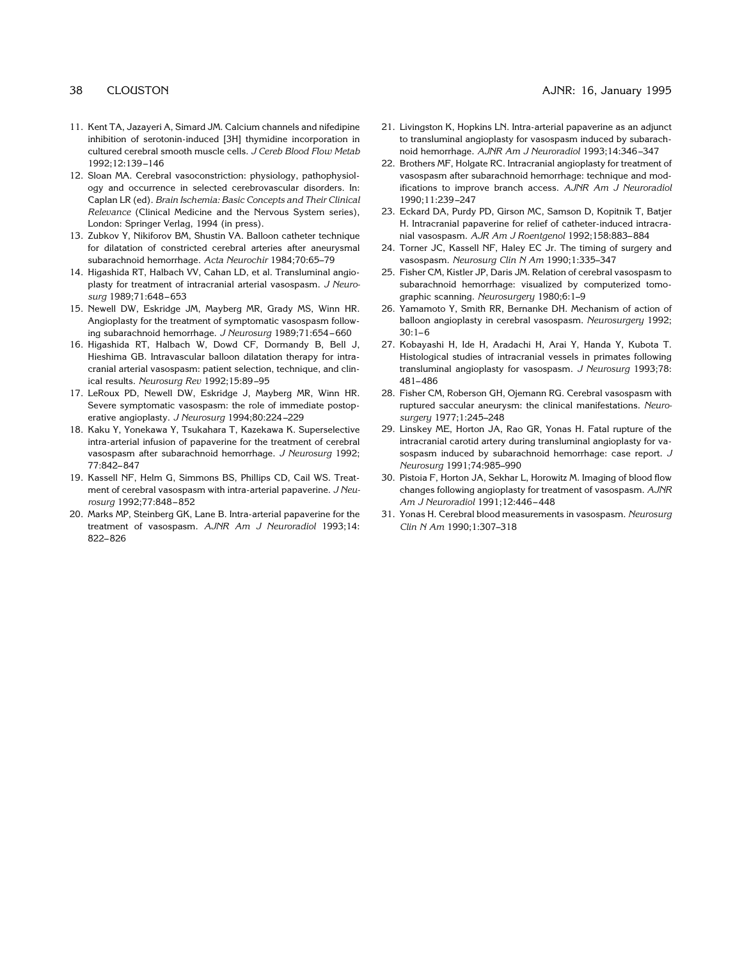- 11. Kent TA, Jazayeri A, Simard JM. Calcium channels and nifedipine inhibition of serotonin-induced [3H] thymidine incorporation in cultured cerebral smooth muscle cells. *J Cereb Blood Flow Metab* 1992;12:139 –146
- 12. Sloan MA. Cerebral vasoconstriction: physiology, pathophysiology and occurrence in selected cerebrovascular disorders. In: Caplan LR (ed). *Brain Ischemia: Basic Concepts and Their Clinical Relevance* (Clinical Medicine and the Nervous System series), London: Springer Verlag, 1994 (in press).
- 13. Zubkov Y, Nikiforov BM, Shustin VA. Balloon catheter technique for dilatation of constricted cerebral arteries after aneurysmal subarachnoid hemorrhage. *Acta Neurochir* 1984;70:65–79
- 14. Higashida RT, Halbach VV, Cahan LD, et al. Transluminal angioplasty for treatment of intracranial arterial vasospasm. *J Neurosurg* 1989;71:648 – 653
- 15. Newell DW, Eskridge JM, Mayberg MR, Grady MS, Winn HR. Angioplasty for the treatment of symptomatic vasospasm following subarachnoid hemorrhage. *J Neurosurg* 1989;71:654 – 660
- 16. Higashida RT, Halbach W, Dowd CF, Dormandy B, Bell J, Hieshima GB. Intravascular balloon dilatation therapy for intracranial arterial vasospasm: patient selection, technique, and clinical results. *Neurosurg Rev* 1992;15:89 –95
- 17. LeRoux PD, Newell DW, Eskridge J, Mayberg MR, Winn HR. Severe symptomatic vasospasm: the role of immediate postoperative angioplasty. *J Neurosurg* 1994;80:224 –229
- 18. Kaku Y, Yonekawa Y, Tsukahara T, Kazekawa K. Superselective intra-arterial infusion of papaverine for the treatment of cerebral vasospasm after subarachnoid hemorrhage. *J Neurosurg* 1992; 77:842– 847
- 19. Kassell NF, Helm G, Simmons BS, Phillips CD, Cail WS. Treatment of cerebral vasospasm with intra-arterial papaverine. *J Neurosurg* 1992;77:848 – 852
- 20. Marks MP, Steinberg GK, Lane B. Intra-arterial papaverine for the treatment of vasospasm. *AJNR Am J Neuroradiol* 1993;14: 822– 826
- 21. Livingston K, Hopkins LN. Intra-arterial papaverine as an adjunct to transluminal angioplasty for vasospasm induced by subarachnoid hemorrhage. *AJNR Am J Neuroradiol* 1993;14:346 –347
- 22. Brothers MF, Holgate RC. Intracranial angioplasty for treatment of vasospasm after subarachnoid hemorrhage: technique and modifications to improve branch access. *AJNR Am J Neuroradiol* 1990;11:239 –247
- 23. Eckard DA, Purdy PD, Girson MC, Samson D, Kopitnik T, Batjer H. Intracranial papaverine for relief of catheter-induced intracranial vasospasm. *AJR Am J Roentgenol* 1992;158:883– 884
- 24. Torner JC, Kassell NF, Haley EC Jr. The timing of surgery and vasospasm. *Neurosurg Clin N Am* 1990;1:335–347
- 25. Fisher CM, Kistler JP, Daris JM. Relation of cerebral vasospasm to subarachnoid hemorrhage: visualized by computerized tomographic scanning. *Neurosurgery* 1980;6:1–9
- 26. Yamamoto Y, Smith RR, Bernanke DH. Mechanism of action of balloon angioplasty in cerebral vasospasm. *Neurosurgery* 1992;  $30:1-6$
- 27. Kobayashi H, Ide H, Aradachi H, Arai Y, Handa Y, Kubota T. Histological studies of intracranial vessels in primates following transluminal angioplasty for vasospasm. *J Neurosurg* 1993;78: 481– 486
- 28. Fisher CM, Roberson GH, Ojemann RG. Cerebral vasospasm with ruptured saccular aneurysm: the clinical manifestations. *Neurosurgery* 1977;1:245–248
- 29. Linskey ME, Horton JA, Rao GR, Yonas H. Fatal rupture of the intracranial carotid artery during transluminal angioplasty for vasospasm induced by subarachnoid hemorrhage: case report. *J Neurosurg* 1991;74:985–990
- 30. Pistoia F, Horton JA, Sekhar L, Horowitz M. Imaging of blood flow changes following angioplasty for treatment of vasospasm. *AJNR Am J Neuroradiol* 1991;12:446 – 448
- 31. Yonas H. Cerebral blood measurements in vasospasm. *Neurosurg Clin N Am* 1990;1:307–318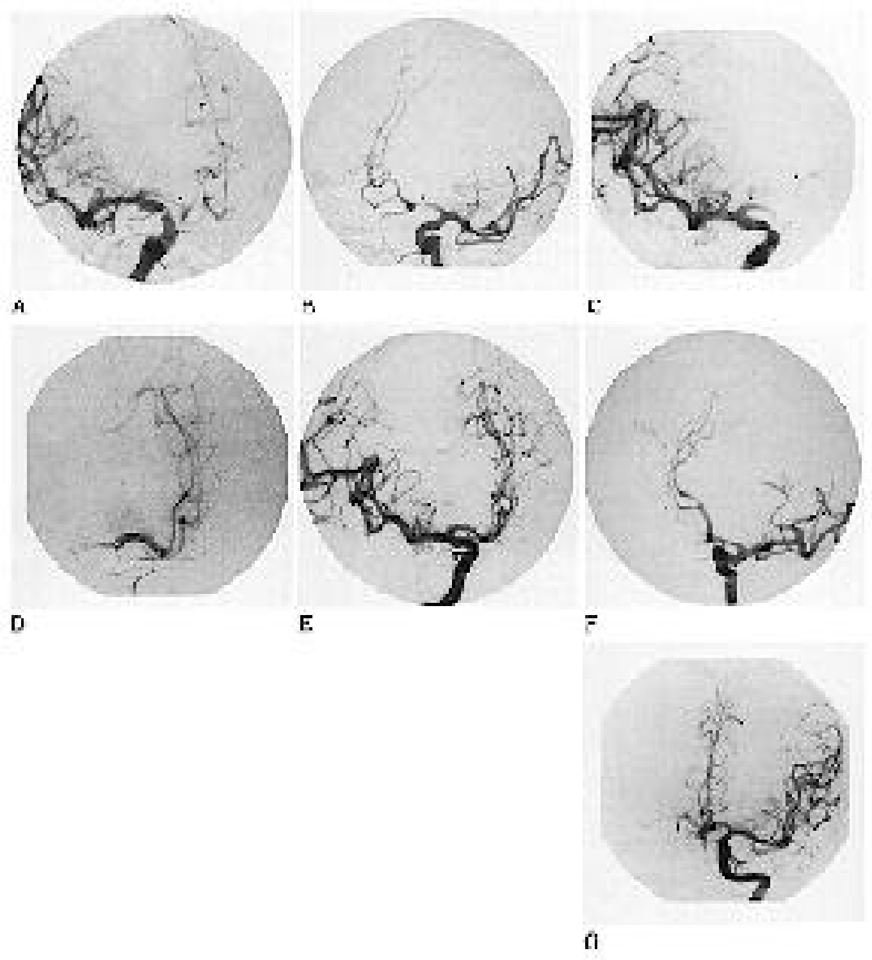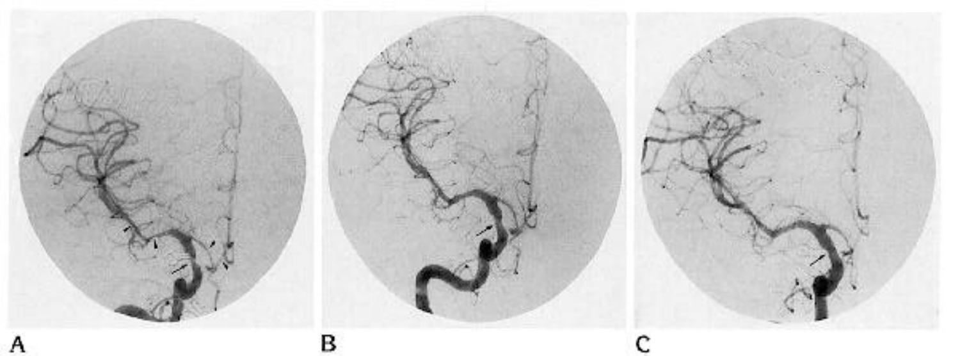